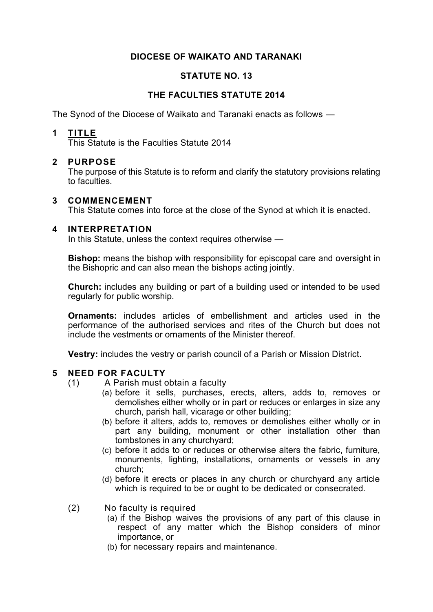## **DIOCESE OF WAIKATO AND TARANAKI**

### **STATUTE NO. 13**

## **THE FACULTIES STATUTE 2014**

The Synod of the Diocese of Waikato and Taranaki enacts as follows —

### **1 TITLE**

This Statute is the Faculties Statute 2014

### **2 PURPOSE**

The purpose of this Statute is to reform and clarify the statutory provisions relating to faculties.

### **3 COMMENCEMENT**

This Statute comes into force at the close of the Synod at which it is enacted.

### **4 INTERPRETATION**

In this Statute, unless the context requires otherwise —

**Bishop:** means the bishop with responsibility for episcopal care and oversight in the Bishopric and can also mean the bishops acting jointly.

**Church:** includes any building or part of a building used or intended to be used regularly for public worship.

**Ornaments:** includes articles of embellishment and articles used in the performance of the authorised services and rites of the Church but does not include the vestments or ornaments of the Minister thereof.

**Vestry:** includes the vestry or parish council of a Parish or Mission District.

### **5 NEED FOR FACULTY**

- (1) A Parish must obtain a faculty
	- (a) before it sells, purchases, erects, alters, adds to, removes or demolishes either wholly or in part or reduces or enlarges in size any church, parish hall, vicarage or other building;
	- (b) before it alters, adds to, removes or demolishes either wholly or in part any building, monument or other installation other than tombstones in any churchyard;
	- (c) before it adds to or reduces or otherwise alters the fabric, furniture, monuments, lighting, installations, ornaments or vessels in any church;
	- (d) before it erects or places in any church or churchyard any article which is required to be or ought to be dedicated or consecrated.
- (2) No faculty is required
	- (a) if the Bishop waives the provisions of any part of this clause in respect of any matter which the Bishop considers of minor importance, or
	- (b) for necessary repairs and maintenance.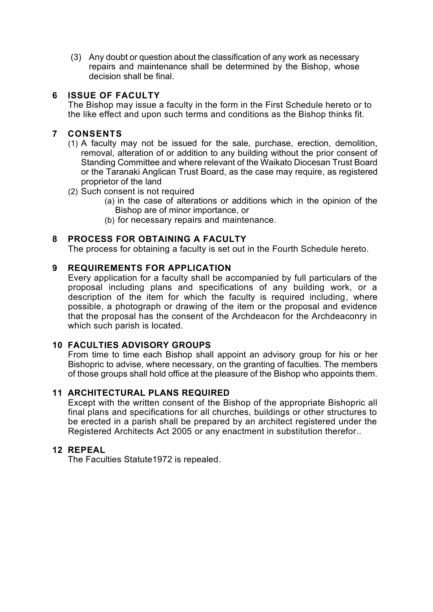(3) Any doubt or question about the classification of any work as necessary repairs and maintenance shall be determined by the Bishop, whose decision shall be final.

# **6 ISSUE OF FACULTY**

The Bishop may issue a faculty in the form in the First Schedule hereto or to the like effect and upon such terms and conditions as the Bishop thinks fit.

## **7 CONSENTS**

- (1) A faculty may not be issued for the sale, purchase, erection, demolition, removal, alteration of or addition to any building without the prior consent of Standing Committee and where relevant of the Waikato Diocesan Trust Board or the Taranaki Anglican Trust Board, as the case may require, as registered proprietor of the land
- (2) Such consent is not required
	- (a) in the case of alterations or additions which in the opinion of the Bishop are of minor importance, or
	- (b) for necessary repairs and maintenance.

## **8 PROCESS FOR OBTAINING A FACULTY**

The process for obtaining a faculty is set out in the Fourth Schedule hereto.

### **9 REQUIREMENTS FOR APPLICATION**

Every application for a faculty shall be accompanied by full particulars of the proposal including plans and specifications of any building work, or a description of the item for which the faculty is required including, where possible, a photograph or drawing of the item or the proposal and evidence that the proposal has the consent of the Archdeacon for the Archdeaconry in which such parish is located.

### **10 FACULTIES ADVISORY GROUPS**

From time to time each Bishop shall appoint an advisory group for his or her Bishopric to advise, where necessary, on the granting of faculties. The members of those groups shall hold office at the pleasure of the Bishop who appoints them.

### **11 ARCHITECTURAL PLANS REQUIRED**

Except with the written consent of the Bishop of the appropriate Bishopric all final plans and specifications for all churches, buildings or other structures to be erected in a parish shall be prepared by an architect registered under the Registered Architects Act 2005 or any enactment in substitution therefor..

#### **12 REPEAL**

The Faculties Statute1972 is repealed.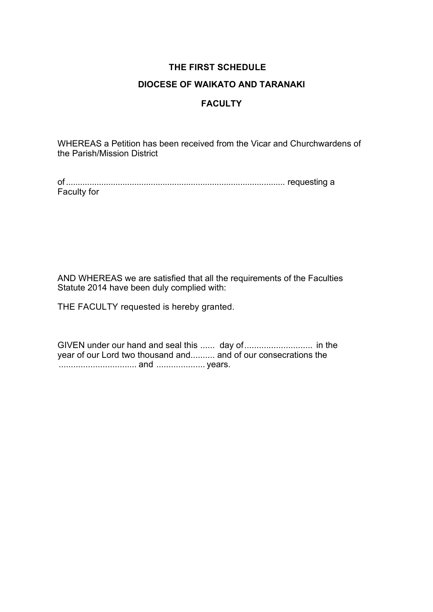# **THE FIRST SCHEDULE**

# **DIOCESE OF WAIKATO AND TARANAKI**

# **FACULTY**

WHEREAS a Petition has been received from the Vicar and Churchwardens of the Parish/Mission District

of............................................................................................. requesting a Faculty for

AND WHEREAS we are satisfied that all the requirements of the Faculties Statute 2014 have been duly complied with:

THE FACULTY requested is hereby granted.

GIVEN under our hand and seal this ...... day of............................ in the year of our Lord two thousand and.......... and of our consecrations the ................................ and .................... years.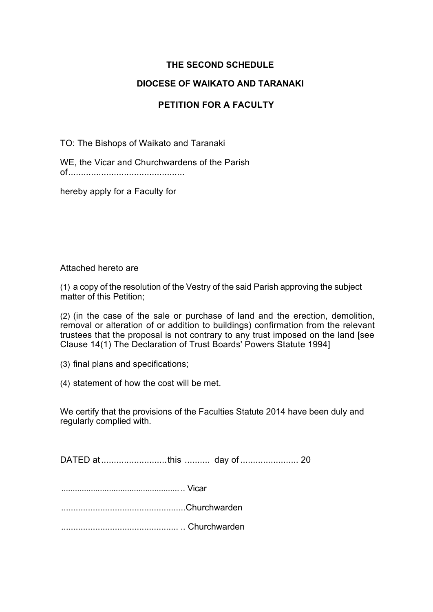# **THE SECOND SCHEDULE**

## **DIOCESE OF WAIKATO AND TARANAKI**

# **PETITION FOR A FACULTY**

TO: The Bishops of Waikato and Taranaki

WE, the Vicar and Churchwardens of the Parish of..............................................

hereby apply for a Faculty for

Attached hereto are

(1) a copy of the resolution of the Vestry of the said Parish approving the subject matter of this Petition;

(2) (in the case of the sale or purchase of land and the erection, demolition, removal or alteration of or addition to buildings) confirmation from the relevant trustees that the proposal is not contrary to any trust imposed on the land [see Clause 14(1) The Declaration of Trust Boards' Powers Statute 1994]

(3) final plans and specifications;

(4) statement of how the cost will be met.

We certify that the provisions of the Faculties Statute 2014 have been duly and regularly complied with.

DATED at..........................this .......... day of ....................... 20

.................................................... .. Vicar

...................................................Churchwarden

................................................ .. Churchwarden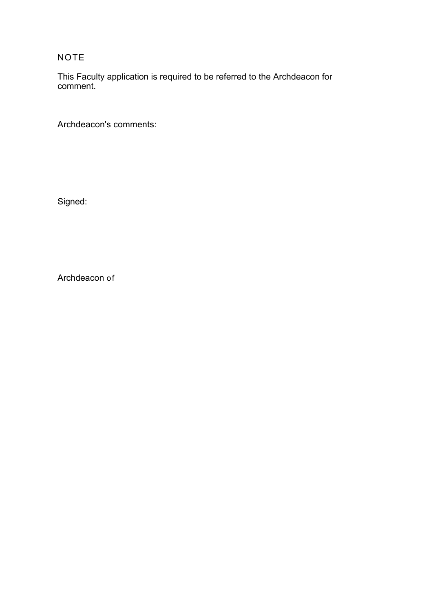NOTE

This Faculty application is required to be referred to the Archdeacon for comment.

Archdeacon's comments:

Signed:

Archdeacon of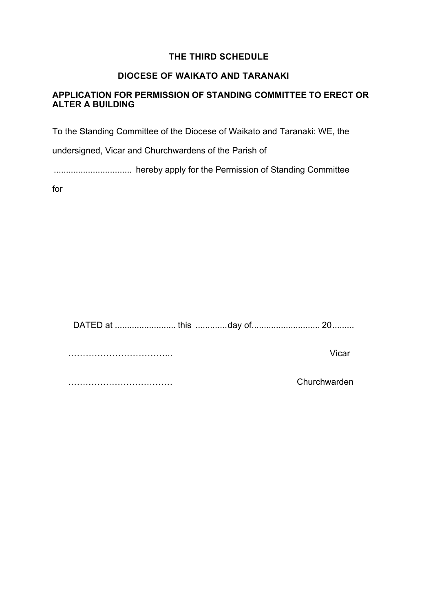# **THE THIRD SCHEDULE**

## **DIOCESE OF WAIKATO AND TARANAKI**

## **APPLICATION FOR PERMISSION OF STANDING COMMITTEE TO ERECT OR ALTER A BUILDING**

To the Standing Committee of the Diocese of Waikato and Taranaki: WE, the

undersigned, Vicar and Churchwardens of the Parish of

................................ hereby apply for the Permission of Standing Committee

for

DATED at ......................... this .............day of............................ 20.........

……………………………... Vicar

……………………………… Churchwarden